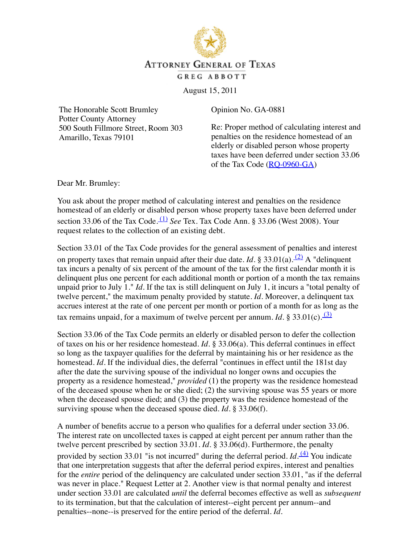

## **ATTORNEY GENERAL OF TEXAS**

GREG ABBOTT

August 15, 2011

The Honorable Scott Brumley Potter County Attorney 500 South Fillmore Street, Room 303 Amarillo, Texas 79101

Opinion No. GA-0881

Re: Proper method of calculating interest and penalties on the residence homestead of an elderly or disabled person whose property taxes have been deferred under section 33.06 of the Tax Code  $(RQ-0960-GA)$  $(RQ-0960-GA)$ 

Dear Mr. Brumley:

You ask about the proper method of calculating interest and penalties on the residence homestead of an elderly or disabled person whose property taxes have been deferred under section 33.06 of the Tax Code.  $(1)$  *See* Tex. Tax Code Ann. § 33.06 (West 2008). Your request relates to the collection of an existing debt.

Section 33.01 of the Tax Code provides for the general assessment of penalties and interest on property taxes that remain unpaid after their due date. *Id*. § 33.01(a). <sup>[\(2\)](#page-1-1)</sup> A "delinquent tax incurs a penalty of six percent of the amount of the tax for the first calendar month it is delinquent plus one percent for each additional month or portion of a month the tax remains unpaid prior to July 1." *Id.* If the tax is still delinquent on July 1, it incurs a "total penalty of twelve percent," the maximum penalty provided by statute. *Id.* Moreover, a delinquent tax accrues interest at the rate of one percent per month or portion of a month for as long as the tax remains unpaid, for a maximum of twelve percent per annum. *Id.* § 33.01(c).  $\frac{(3)}{(2)}$  $\frac{(3)}{(2)}$  $\frac{(3)}{(2)}$ 

Section 33.06 of the Tax Code permits an elderly or disabled person to defer the collection of taxes on his or her residence homestead. *Id.* § 33.06(a). This deferral continues in effect so long as the taxpayer qualifies for the deferral by maintaining his or her residence as the homestead. *Id*. If the individual dies, the deferral "continues in effect until the 181st day after the date the surviving spouse of the individual no longer owns and occupies the property as a residence homestead," *provided* (1) the property was the residence homestead of the deceased spouse when he or she died; (2) the surviving spouse was 55 years or more when the deceased spouse died; and (3) the property was the residence homestead of the surviving spouse when the deceased spouse died. *Id.* § 33.06(f).

A number of benefits accrue to a person who qualifies for a deferral under section 33.06. The interest rate on uncollected taxes is capped at eight percent per annum rather than the twelve percent prescribed by section 33.01. *Id.* § 33.06(d). Furthermore, the penalty provided by section 33.01 "is not incurred" during the deferral period. *Id*. <sup>[\(4\)](#page-2-1)</sup> You indicate that one interpretation suggests that after the deferral period expires, interest and penalties for the *entire* period of the delinquency are calculated under section 33.01, "as if the deferral was never in place." Request Letter at 2. Another view is that normal penalty and interest under section 33.01 are calculated *until* the deferral becomes effective as well as *subsequent* to its termination, but that the calculation of interest--eight percent per annum--and penalties--none--is preserved for the entire period of the deferral. *Id.*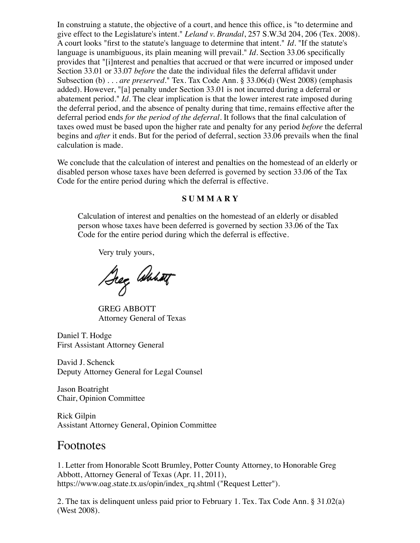In construing a statute, the objective of a court, and hence this office, is "to determine and give effect to the Legislature's intent." *Leland v. Brandal*, 257 S.W.3d 204, 206 (Tex. 2008). A court looks "first to the statute's language to determine that intent." *Id.* "If the statute's language is unambiguous, its plain meaning will prevail." *Id.* Section 33.06 specifically provides that "[i]nterest and penalties that accrued or that were incurred or imposed under Section 33.01 or 33.07 *before* the date the individual files the deferral affidavit under Subsection (b) . . . *are preserved*." Tex. Tax Code Ann. § 33.06(d) (West 2008) (emphasis added). However, "[a] penalty under Section 33.01 is not incurred during a deferral or abatement period." *Id.* The clear implication is that the lower interest rate imposed during the deferral period, and the absence of penalty during that time, remains effective after the deferral period ends *for the period of the deferral*. It follows that the final calculation of taxes owed must be based upon the higher rate and penalty for any period *before* the deferral begins and *after* it ends. But for the period of deferral, section 33.06 prevails when the final calculation is made.

We conclude that the calculation of interest and penalties on the homestead of an elderly or disabled person whose taxes have been deferred is governed by section 33.06 of the Tax Code for the entire period during which the deferral is effective.

## **S U M M A R Y**

Calculation of interest and penalties on the homestead of an elderly or disabled person whose taxes have been deferred is governed by section 33.06 of the Tax Code for the entire period during which the deferral is effective.

Very truly yours,

Deg Annet

GREG ABBOTT Attorney General of Texas

Daniel T. Hodge First Assistant Attorney General

David J. Schenck Deputy Attorney General for Legal Counsel

Jason Boatright Chair, Opinion Committee

Rick Gilpin Assistant Attorney General, Opinion Committee

## Footnotes

<span id="page-1-0"></span>1. Letter from Honorable Scott Brumley, Potter County Attorney, to Honorable Greg Abbott, Attorney General of Texas (Apr. 11, 2011), https://www.oag.state.tx.us/opin/index\_rq.shtml ("Request Letter").

<span id="page-1-1"></span>2. The tax is delinquent unless paid prior to February 1. Tex. Tax Code Ann. § 31.02(a) (West 2008).